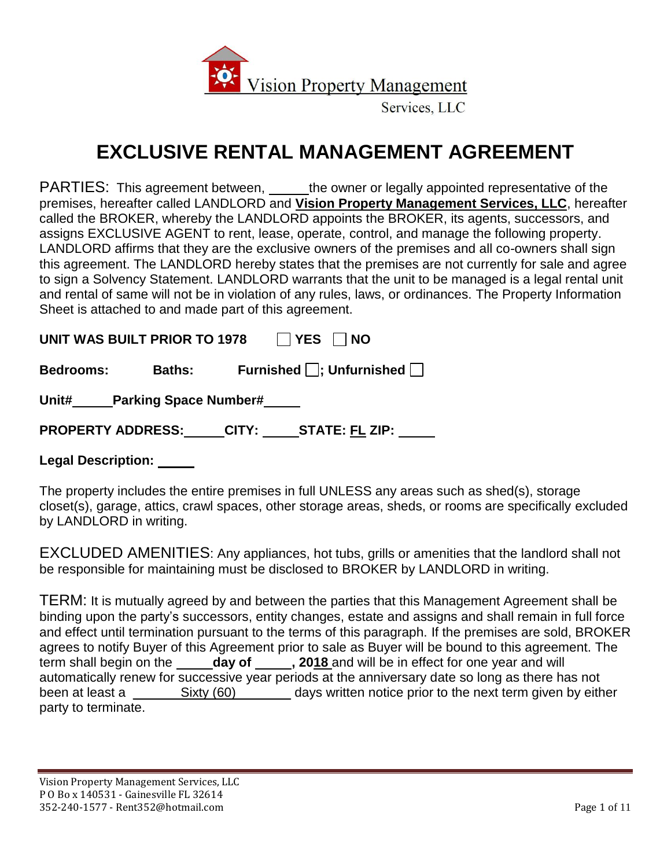

## **EXCLUSIVE RENTAL MANAGEMENT AGREEMENT**

PARTIES: This agreement between, \_\_\_\_\_the owner or legally appointed representative of the premises, hereafter called LANDLORD and **Vision Property Management Services, LLC**, hereafter called the BROKER, whereby the LANDLORD appoints the BROKER, its agents, successors, and assigns EXCLUSIVE AGENT to rent, lease, operate, control, and manage the following property. LANDLORD affirms that they are the exclusive owners of the premises and all co-owners shall sign this agreement. The LANDLORD hereby states that the premises are not currently for sale and agree to sign a Solvency Statement. LANDLORD warrants that the unit to be managed is a legal rental unit and rental of same will not be in violation of any rules, laws, or ordinances. The Property Information Sheet is attached to and made part of this agreement.

UNIT WAS BUILT PRIOR TO 1978 APPLYES **NO** 

| <b>Bedrooms:</b> | <b>Baths:</b> | Furnished $\Box$ ; Unfurnished $\Box$ |  |
|------------------|---------------|---------------------------------------|--|
|                  |               |                                       |  |

**Unit# Parking Space Number#** 

**PROPERTY ADDRESS: CITY: STATE: FL ZIP:** 

**Legal Description:** 

The property includes the entire premises in full UNLESS any areas such as shed(s), storage closet(s), garage, attics, crawl spaces, other storage areas, sheds, or rooms are specifically excluded by LANDLORD in writing.

EXCLUDED AMENITIES: Any appliances, hot tubs, grills or amenities that the landlord shall not be responsible for maintaining must be disclosed to BROKER by LANDLORD in writing.

TERM: It is mutually agreed by and between the parties that this Management Agreement shall be binding upon the party's successors, entity changes, estate and assigns and shall remain in full force and effect until termination pursuant to the terms of this paragraph. If the premises are sold, BROKER agrees to notify Buyer of this Agreement prior to sale as Buyer will be bound to this agreement. The term shall begin on the **day of , 2018** and will be in effect for one year and will automatically renew for successive year periods at the anniversary date so long as there has not been at least a \_\_\_\_\_\_\_\_ Sixty (60) \_\_\_\_\_\_\_\_ days written notice prior to the next term given by either party to terminate.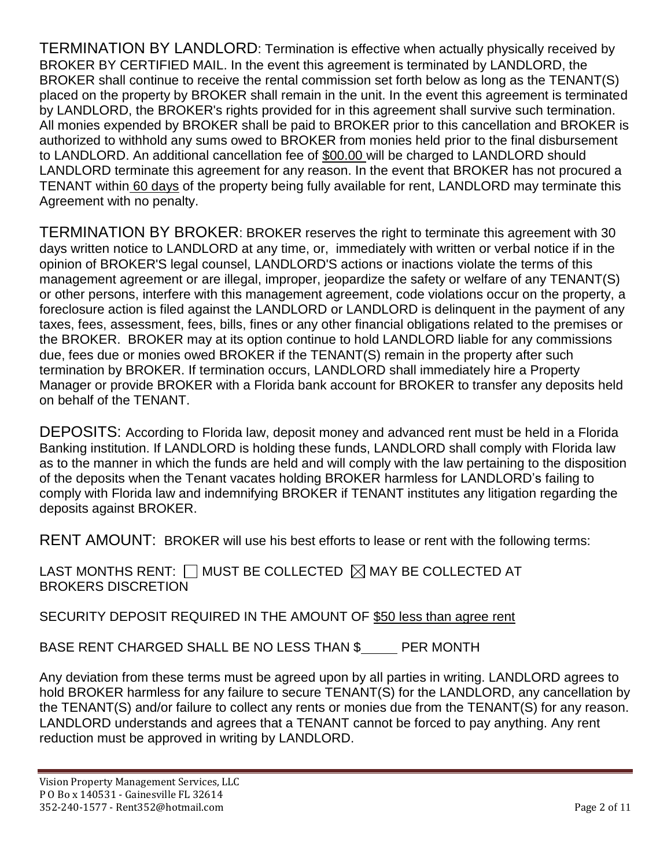TERMINATION BY LANDLORD: Termination is effective when actually physically received by BROKER BY CERTIFIED MAIL. In the event this agreement is terminated by LANDLORD, the BROKER shall continue to receive the rental commission set forth below as long as the TENANT(S) placed on the property by BROKER shall remain in the unit. In the event this agreement is terminated by LANDLORD, the BROKER's rights provided for in this agreement shall survive such termination. All monies expended by BROKER shall be paid to BROKER prior to this cancellation and BROKER is authorized to withhold any sums owed to BROKER from monies held prior to the final disbursement to LANDLORD. An additional cancellation fee of \$00.00 will be charged to LANDLORD should LANDLORD terminate this agreement for any reason. In the event that BROKER has not procured a TENANT within 60 days of the property being fully available for rent, LANDLORD may terminate this Agreement with no penalty.

TERMINATION BY BROKER: BROKER reserves the right to terminate this agreement with 30 days written notice to LANDLORD at any time, or, immediately with written or verbal notice if in the opinion of BROKER'S legal counsel, LANDLORD'S actions or inactions violate the terms of this management agreement or are illegal, improper, jeopardize the safety or welfare of any TENANT(S) or other persons, interfere with this management agreement, code violations occur on the property, a foreclosure action is filed against the LANDLORD or LANDLORD is delinquent in the payment of any taxes, fees, assessment, fees, bills, fines or any other financial obligations related to the premises or the BROKER. BROKER may at its option continue to hold LANDLORD liable for any commissions due, fees due or monies owed BROKER if the TENANT(S) remain in the property after such termination by BROKER. If termination occurs, LANDLORD shall immediately hire a Property Manager or provide BROKER with a Florida bank account for BROKER to transfer any deposits held on behalf of the TENANT.

DEPOSITS: According to Florida law, deposit money and advanced rent must be held in a Florida Banking institution. If LANDLORD is holding these funds, LANDLORD shall comply with Florida law as to the manner in which the funds are held and will comply with the law pertaining to the disposition of the deposits when the Tenant vacates holding BROKER harmless for LANDLORD's failing to comply with Florida law and indemnifying BROKER if TENANT institutes any litigation regarding the deposits against BROKER.

RENT AMOUNT: BROKER will use his best efforts to lease or rent with the following terms:

LAST MONTHS RENT:  $\Box$  MUST BE COLLECTED  $\boxtimes$  MAY BE COLLECTED AT BROKERS DISCRETION

SECURITY DEPOSIT REQUIRED IN THE AMOUNT OF \$50 less than agree rent

BASE RENT CHARGED SHALL BE NO LESS THAN \$ PER MONTH

Any deviation from these terms must be agreed upon by all parties in writing. LANDLORD agrees to hold BROKER harmless for any failure to secure TENANT(S) for the LANDLORD, any cancellation by the TENANT(S) and/or failure to collect any rents or monies due from the TENANT(S) for any reason. LANDLORD understands and agrees that a TENANT cannot be forced to pay anything. Any rent reduction must be approved in writing by LANDLORD.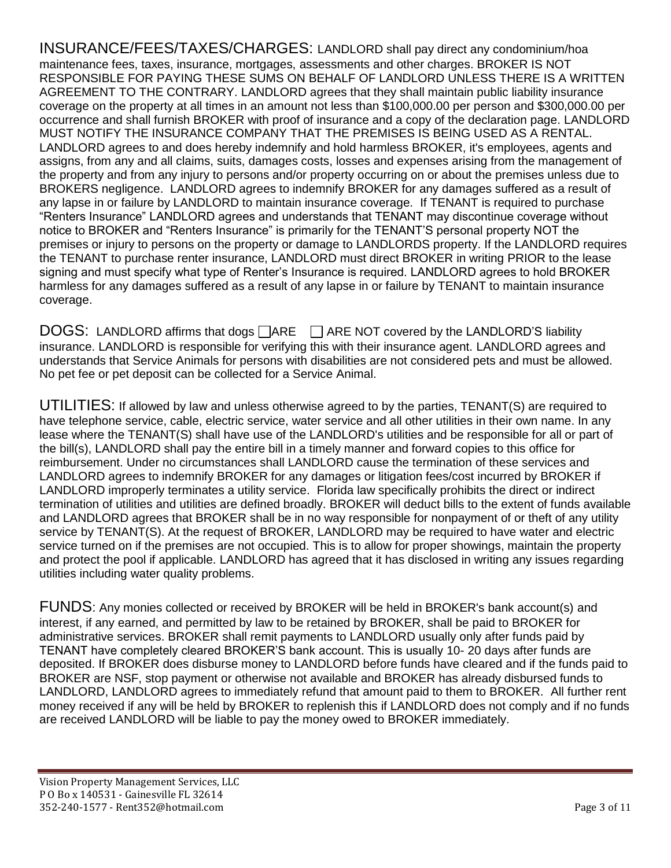INSURANCE/FEES/TAXES/CHARGES: LANDLORD shall pay direct any condominium/hoa maintenance fees, taxes, insurance, mortgages, assessments and other charges. BROKER IS NOT RESPONSIBLE FOR PAYING THESE SUMS ON BEHALF OF LANDLORD UNLESS THERE IS A WRITTEN AGREEMENT TO THE CONTRARY. LANDLORD agrees that they shall maintain public liability insurance coverage on the property at all times in an amount not less than \$100,000.00 per person and \$300,000.00 per occurrence and shall furnish BROKER with proof of insurance and a copy of the declaration page. LANDLORD MUST NOTIFY THE INSURANCE COMPANY THAT THE PREMISES IS BEING USED AS A RENTAL. LANDLORD agrees to and does hereby indemnify and hold harmless BROKER, it's employees, agents and assigns, from any and all claims, suits, damages costs, losses and expenses arising from the management of the property and from any injury to persons and/or property occurring on or about the premises unless due to BROKERS negligence. LANDLORD agrees to indemnify BROKER for any damages suffered as a result of any lapse in or failure by LANDLORD to maintain insurance coverage. If TENANT is required to purchase "Renters Insurance" LANDLORD agrees and understands that TENANT may discontinue coverage without notice to BROKER and "Renters Insurance" is primarily for the TENANT'S personal property NOT the premises or injury to persons on the property or damage to LANDLORDS property. If the LANDLORD requires the TENANT to purchase renter insurance, LANDLORD must direct BROKER in writing PRIOR to the lease signing and must specify what type of Renter's Insurance is required. LANDLORD agrees to hold BROKER harmless for any damages suffered as a result of any lapse in or failure by TENANT to maintain insurance coverage.

 $\overline{DOGS}$ : LANDLORD affirms that dogs  $\Box$ ARE  $\Box$  ARE NOT covered by the LANDLORD'S liability insurance. LANDLORD is responsible for verifying this with their insurance agent. LANDLORD agrees and understands that Service Animals for persons with disabilities are not considered pets and must be allowed. No pet fee or pet deposit can be collected for a Service Animal.

UTILITIES: If allowed by law and unless otherwise agreed to by the parties, TENANT(S) are required to have telephone service, cable, electric service, water service and all other utilities in their own name. In any lease where the TENANT(S) shall have use of the LANDLORD's utilities and be responsible for all or part of the bill(s), LANDLORD shall pay the entire bill in a timely manner and forward copies to this office for reimbursement. Under no circumstances shall LANDLORD cause the termination of these services and LANDLORD agrees to indemnify BROKER for any damages or litigation fees/cost incurred by BROKER if LANDLORD improperly terminates a utility service. Florida law specifically prohibits the direct or indirect termination of utilities and utilities are defined broadly. BROKER will deduct bills to the extent of funds available and LANDLORD agrees that BROKER shall be in no way responsible for nonpayment of or theft of any utility service by TENANT(S). At the request of BROKER, LANDLORD may be required to have water and electric service turned on if the premises are not occupied. This is to allow for proper showings, maintain the property and protect the pool if applicable. LANDLORD has agreed that it has disclosed in writing any issues regarding utilities including water quality problems.

FUNDS: Any monies collected or received by BROKER will be held in BROKER's bank account(s) and interest, if any earned, and permitted by law to be retained by BROKER, shall be paid to BROKER for administrative services. BROKER shall remit payments to LANDLORD usually only after funds paid by TENANT have completely cleared BROKER'S bank account. This is usually 10- 20 days after funds are deposited. If BROKER does disburse money to LANDLORD before funds have cleared and if the funds paid to BROKER are NSF, stop payment or otherwise not available and BROKER has already disbursed funds to LANDLORD, LANDLORD agrees to immediately refund that amount paid to them to BROKER. All further rent money received if any will be held by BROKER to replenish this if LANDLORD does not comply and if no funds are received LANDLORD will be liable to pay the money owed to BROKER immediately.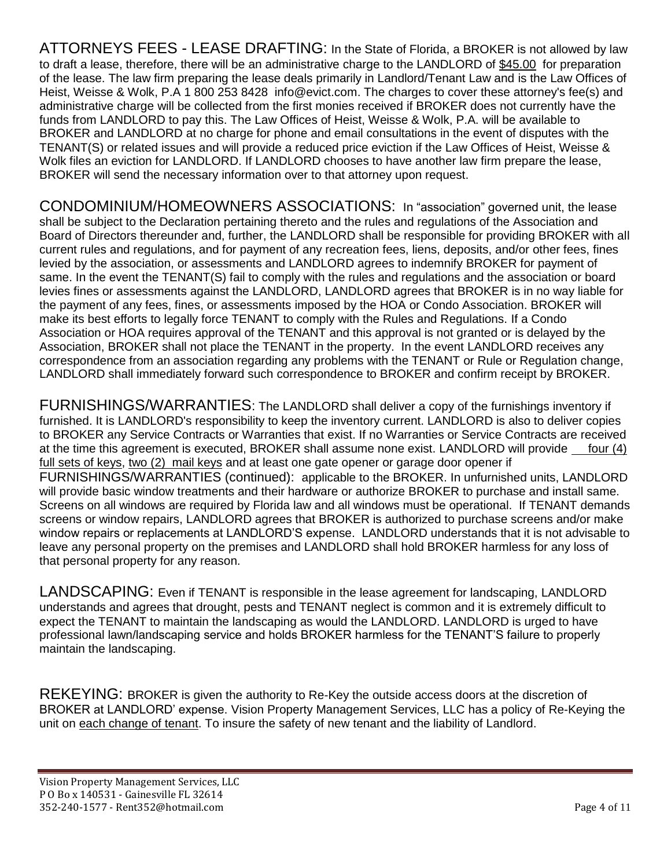ATTORNEYS FEES - LEASE DRAFTING: In the State of Florida, a BROKER is not allowed by law to draft a lease, therefore, there will be an administrative charge to the LANDLORD of \$45.00 for preparation of the lease. The law firm preparing the lease deals primarily in Landlord/Tenant Law and is the Law Offices of Heist, Weisse & Wolk, P.A 1 800 253 8428 info@evict.com. The charges to cover these attorney's fee(s) and administrative charge will be collected from the first monies received if BROKER does not currently have the funds from LANDLORD to pay this. The Law Offices of Heist, Weisse & Wolk, P.A. will be available to BROKER and LANDLORD at no charge for phone and email consultations in the event of disputes with the TENANT(S) or related issues and will provide a reduced price eviction if the Law Offices of Heist, Weisse & Wolk files an eviction for LANDLORD. If LANDLORD chooses to have another law firm prepare the lease, BROKER will send the necessary information over to that attorney upon request.

CONDOMINIUM/HOMEOWNERS ASSOCIATIONS: In "association" governed unit, the lease shall be subject to the Declaration pertaining thereto and the rules and regulations of the Association and Board of Directors thereunder and, further, the LANDLORD shall be responsible for providing BROKER with all current rules and regulations, and for payment of any recreation fees, liens, deposits, and/or other fees, fines levied by the association, or assessments and LANDLORD agrees to indemnify BROKER for payment of same. In the event the TENANT(S) fail to comply with the rules and regulations and the association or board levies fines or assessments against the LANDLORD, LANDLORD agrees that BROKER is in no way liable for the payment of any fees, fines, or assessments imposed by the HOA or Condo Association. BROKER will make its best efforts to legally force TENANT to comply with the Rules and Regulations. If a Condo Association or HOA requires approval of the TENANT and this approval is not granted or is delayed by the Association, BROKER shall not place the TENANT in the property. In the event LANDLORD receives any correspondence from an association regarding any problems with the TENANT or Rule or Regulation change, LANDLORD shall immediately forward such correspondence to BROKER and confirm receipt by BROKER.

FURNISHINGS/WARRANTIES: The LANDLORD shall deliver a copy of the furnishings inventory if furnished. It is LANDLORD's responsibility to keep the inventory current. LANDLORD is also to deliver copies to BROKER any Service Contracts or Warranties that exist. If no Warranties or Service Contracts are received at the time this agreement is executed, BROKER shall assume none exist. LANDLORD will provide four (4) full sets of keys, two (2) mail keys and at least one gate opener or garage door opener if FURNISHINGS/WARRANTIES (continued): applicable to the BROKER. In unfurnished units, LANDLORD will provide basic window treatments and their hardware or authorize BROKER to purchase and install same. Screens on all windows are required by Florida law and all windows must be operational. If TENANT demands screens or window repairs, LANDLORD agrees that BROKER is authorized to purchase screens and/or make window repairs or replacements at LANDLORD'S expense. LANDLORD understands that it is not advisable to leave any personal property on the premises and LANDLORD shall hold BROKER harmless for any loss of that personal property for any reason.

LANDSCAPING: Even if TENANT is responsible in the lease agreement for landscaping, LANDLORD understands and agrees that drought, pests and TENANT neglect is common and it is extremely difficult to expect the TENANT to maintain the landscaping as would the LANDLORD. LANDLORD is urged to have professional lawn/landscaping service and holds BROKER harmless for the TENANT'S failure to properly maintain the landscaping.

REKEYING: BROKER is given the authority to Re-Key the outside access doors at the discretion of BROKER at LANDLORD' expense. Vision Property Management Services, LLC has a policy of Re-Keying the unit on each change of tenant. To insure the safety of new tenant and the liability of Landlord.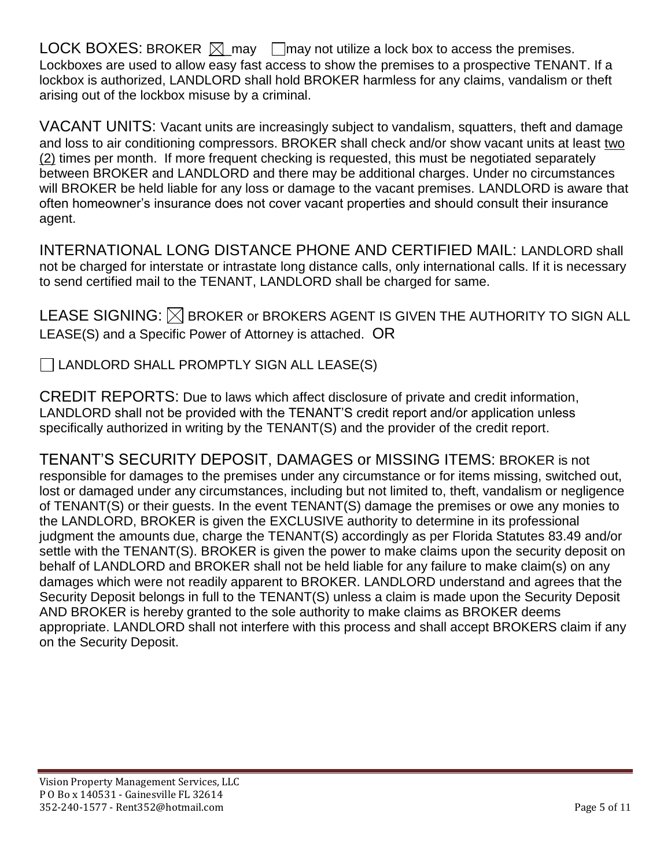LOCK BOXES: BROKER  $\boxtimes$  may  $\Box$  may not utilize a lock box to access the premises. Lockboxes are used to allow easy fast access to show the premises to a prospective TENANT. If a lockbox is authorized, LANDLORD shall hold BROKER harmless for any claims, vandalism or theft arising out of the lockbox misuse by a criminal.

VACANT UNITS: Vacant units are increasingly subject to vandalism, squatters, theft and damage and loss to air conditioning compressors. BROKER shall check and/or show vacant units at least two (2) times per month. If more frequent checking is requested, this must be negotiated separately between BROKER and LANDLORD and there may be additional charges. Under no circumstances will BROKER be held liable for any loss or damage to the vacant premises. LANDLORD is aware that often homeowner's insurance does not cover vacant properties and should consult their insurance agent.

INTERNATIONAL LONG DISTANCE PHONE AND CERTIFIED MAIL: LANDLORD shall not be charged for interstate or intrastate long distance calls, only international calls. If it is necessary to send certified mail to the TENANT, LANDLORD shall be charged for same.

LEASE SIGNING:  $\boxtimes$  BROKER or BROKERS AGENT IS GIVEN THE AUTHORITY TO SIGN ALL LEASE(S) and a Specific Power of Attorney is attached. OR

 $\Box$  LANDLORD SHALL PROMPTLY SIGN ALL LEASE(S)

CREDIT REPORTS: Due to laws which affect disclosure of private and credit information, LANDLORD shall not be provided with the TENANT'S credit report and/or application unless specifically authorized in writing by the TENANT(S) and the provider of the credit report.

TENANT'S SECURITY DEPOSIT, DAMAGES or MISSING ITEMS: BROKER is not responsible for damages to the premises under any circumstance or for items missing, switched out, lost or damaged under any circumstances, including but not limited to, theft, vandalism or negligence of TENANT(S) or their guests. In the event TENANT(S) damage the premises or owe any monies to the LANDLORD, BROKER is given the EXCLUSIVE authority to determine in its professional judgment the amounts due, charge the TENANT(S) accordingly as per Florida Statutes 83.49 and/or settle with the TENANT(S). BROKER is given the power to make claims upon the security deposit on behalf of LANDLORD and BROKER shall not be held liable for any failure to make claim(s) on any damages which were not readily apparent to BROKER. LANDLORD understand and agrees that the Security Deposit belongs in full to the TENANT(S) unless a claim is made upon the Security Deposit AND BROKER is hereby granted to the sole authority to make claims as BROKER deems appropriate. LANDLORD shall not interfere with this process and shall accept BROKERS claim if any on the Security Deposit.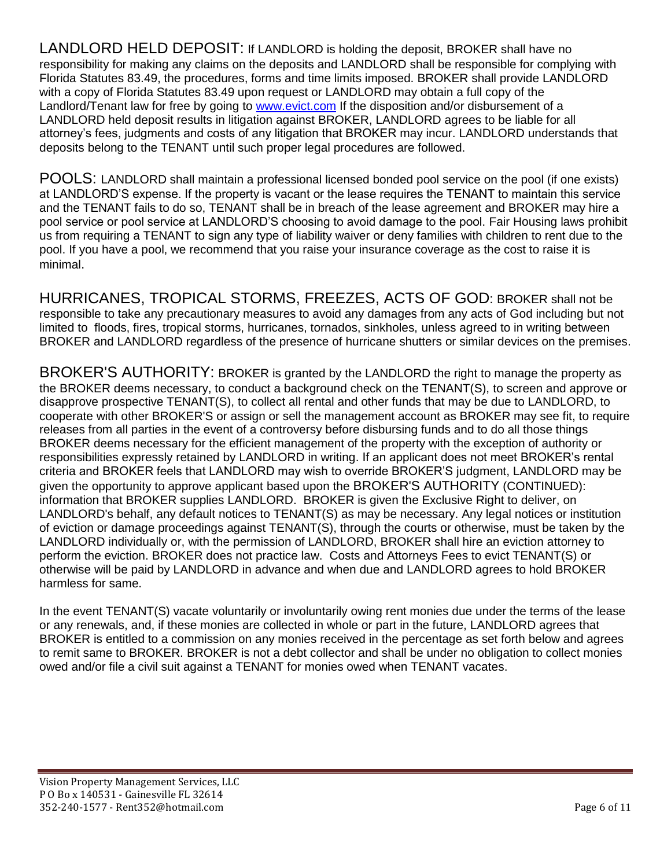LANDLORD HELD DEPOSIT: If LANDLORD is holding the deposit, BROKER shall have no responsibility for making any claims on the deposits and LANDLORD shall be responsible for complying with Florida Statutes 83.49, the procedures, forms and time limits imposed. BROKER shall provide LANDLORD with a copy of Florida Statutes 83.49 upon request or LANDLORD may obtain a full copy of the Landlord/Tenant law for free by going to [www.evict.com](http://www.evict.com/) If the disposition and/or disbursement of a LANDLORD held deposit results in litigation against BROKER, LANDLORD agrees to be liable for all attorney's fees, judgments and costs of any litigation that BROKER may incur. LANDLORD understands that deposits belong to the TENANT until such proper legal procedures are followed.

POOLS: LANDLORD shall maintain a professional licensed bonded pool service on the pool (if one exists) at LANDLORD'S expense. If the property is vacant or the lease requires the TENANT to maintain this service and the TENANT fails to do so, TENANT shall be in breach of the lease agreement and BROKER may hire a pool service or pool service at LANDLORD'S choosing to avoid damage to the pool. Fair Housing laws prohibit us from requiring a TENANT to sign any type of liability waiver or deny families with children to rent due to the pool. If you have a pool, we recommend that you raise your insurance coverage as the cost to raise it is minimal.

HURRICANES, TROPICAL STORMS, FREEZES, ACTS OF GOD: BROKER shall not be responsible to take any precautionary measures to avoid any damages from any acts of God including but not limited to floods, fires, tropical storms, hurricanes, tornados, sinkholes, unless agreed to in writing between BROKER and LANDLORD regardless of the presence of hurricane shutters or similar devices on the premises.

BROKER'S AUTHORITY: BROKER is granted by the LANDLORD the right to manage the property as the BROKER deems necessary, to conduct a background check on the TENANT(S), to screen and approve or disapprove prospective TENANT(S), to collect all rental and other funds that may be due to LANDLORD, to cooperate with other BROKER'S or assign or sell the management account as BROKER may see fit, to require releases from all parties in the event of a controversy before disbursing funds and to do all those things BROKER deems necessary for the efficient management of the property with the exception of authority or responsibilities expressly retained by LANDLORD in writing. If an applicant does not meet BROKER's rental criteria and BROKER feels that LANDLORD may wish to override BROKER'S judgment, LANDLORD may be given the opportunity to approve applicant based upon the BROKER'S AUTHORITY (CONTINUED): information that BROKER supplies LANDLORD. BROKER is given the Exclusive Right to deliver, on LANDLORD's behalf, any default notices to TENANT(S) as may be necessary. Any legal notices or institution of eviction or damage proceedings against TENANT(S), through the courts or otherwise, must be taken by the LANDLORD individually or, with the permission of LANDLORD, BROKER shall hire an eviction attorney to perform the eviction. BROKER does not practice law. Costs and Attorneys Fees to evict TENANT(S) or otherwise will be paid by LANDLORD in advance and when due and LANDLORD agrees to hold BROKER harmless for same.

In the event TENANT(S) vacate voluntarily or involuntarily owing rent monies due under the terms of the lease or any renewals, and, if these monies are collected in whole or part in the future, LANDLORD agrees that BROKER is entitled to a commission on any monies received in the percentage as set forth below and agrees to remit same to BROKER. BROKER is not a debt collector and shall be under no obligation to collect monies owed and/or file a civil suit against a TENANT for monies owed when TENANT vacates.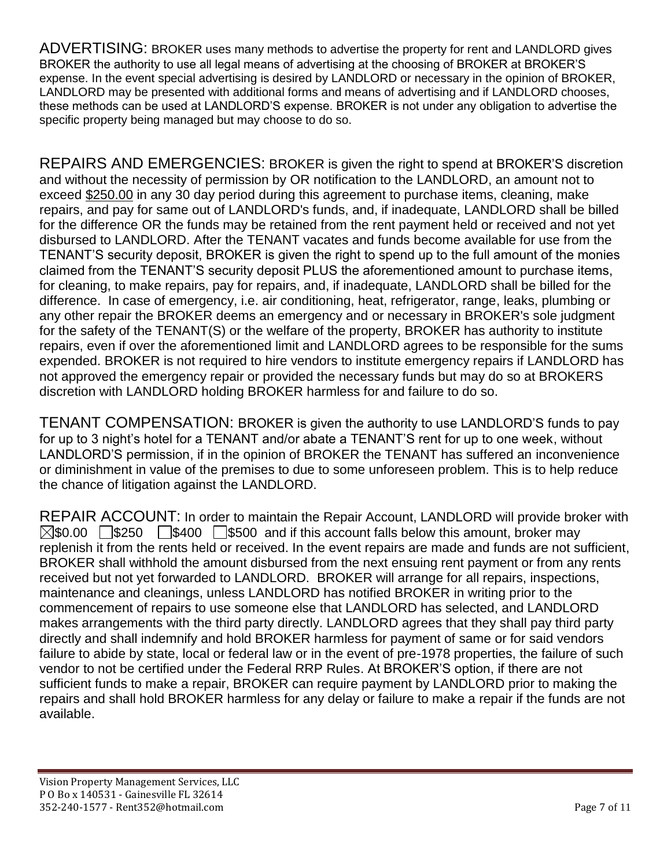ADVERTISING: BROKER uses many methods to advertise the property for rent and LANDLORD gives BROKER the authority to use all legal means of advertising at the choosing of BROKER at BROKER'S expense. In the event special advertising is desired by LANDLORD or necessary in the opinion of BROKER, LANDLORD may be presented with additional forms and means of advertising and if LANDLORD chooses, these methods can be used at LANDLORD'S expense. BROKER is not under any obligation to advertise the specific property being managed but may choose to do so.

REPAIRS AND EMERGENCIES: BROKER is given the right to spend at BROKER'S discretion and without the necessity of permission by OR notification to the LANDLORD, an amount not to exceed \$250.00 in any 30 day period during this agreement to purchase items, cleaning, make repairs, and pay for same out of LANDLORD's funds, and, if inadequate, LANDLORD shall be billed for the difference OR the funds may be retained from the rent payment held or received and not yet disbursed to LANDLORD. After the TENANT vacates and funds become available for use from the TENANT'S security deposit, BROKER is given the right to spend up to the full amount of the monies claimed from the TENANT'S security deposit PLUS the aforementioned amount to purchase items, for cleaning, to make repairs, pay for repairs, and, if inadequate, LANDLORD shall be billed for the difference. In case of emergency, i.e. air conditioning, heat, refrigerator, range, leaks, plumbing or any other repair the BROKER deems an emergency and or necessary in BROKER's sole judgment for the safety of the TENANT(S) or the welfare of the property, BROKER has authority to institute repairs, even if over the aforementioned limit and LANDLORD agrees to be responsible for the sums expended. BROKER is not required to hire vendors to institute emergency repairs if LANDLORD has not approved the emergency repair or provided the necessary funds but may do so at BROKERS discretion with LANDLORD holding BROKER harmless for and failure to do so.

TENANT COMPENSATION: BROKER is given the authority to use LANDLORD'S funds to pay for up to 3 night's hotel for a TENANT and/or abate a TENANT'S rent for up to one week, without LANDLORD'S permission, if in the opinion of BROKER the TENANT has suffered an inconvenience or diminishment in value of the premises to due to some unforeseen problem. This is to help reduce the chance of litigation against the LANDLORD.

REPAIR ACCOUNT: In order to maintain the Repair Account, LANDLORD will provide broker with  $\boxtimes$ \$0.00  $\Box$ \$250  $\Box$ \$400  $\Box$ \$500 and if this account falls below this amount, broker may replenish it from the rents held or received. In the event repairs are made and funds are not sufficient, BROKER shall withhold the amount disbursed from the next ensuing rent payment or from any rents received but not yet forwarded to LANDLORD. BROKER will arrange for all repairs, inspections, maintenance and cleanings, unless LANDLORD has notified BROKER in writing prior to the commencement of repairs to use someone else that LANDLORD has selected, and LANDLORD makes arrangements with the third party directly. LANDLORD agrees that they shall pay third party directly and shall indemnify and hold BROKER harmless for payment of same or for said vendors failure to abide by state, local or federal law or in the event of pre-1978 properties, the failure of such vendor to not be certified under the Federal RRP Rules. At BROKER'S option, if there are not sufficient funds to make a repair, BROKER can require payment by LANDLORD prior to making the repairs and shall hold BROKER harmless for any delay or failure to make a repair if the funds are not available.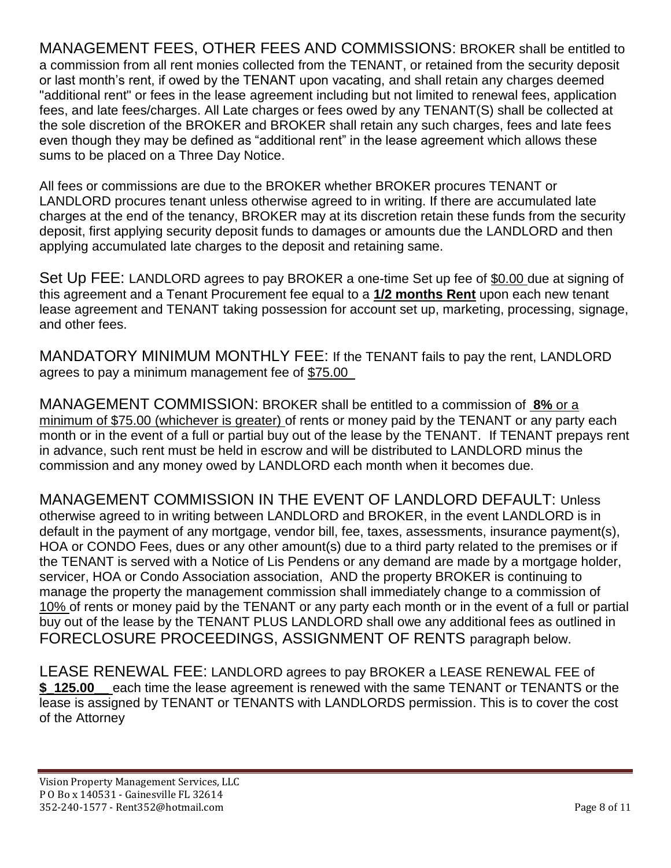MANAGEMENT FEES, OTHER FEES AND COMMISSIONS: BROKER shall be entitled to a commission from all rent monies collected from the TENANT, or retained from the security deposit or last month's rent, if owed by the TENANT upon vacating, and shall retain any charges deemed "additional rent" or fees in the lease agreement including but not limited to renewal fees, application fees, and late fees/charges. All Late charges or fees owed by any TENANT(S) shall be collected at the sole discretion of the BROKER and BROKER shall retain any such charges, fees and late fees even though they may be defined as "additional rent" in the lease agreement which allows these sums to be placed on a Three Day Notice.

All fees or commissions are due to the BROKER whether BROKER procures TENANT or LANDLORD procures tenant unless otherwise agreed to in writing. If there are accumulated late charges at the end of the tenancy, BROKER may at its discretion retain these funds from the security deposit, first applying security deposit funds to damages or amounts due the LANDLORD and then applying accumulated late charges to the deposit and retaining same.

Set Up FEE: LANDLORD agrees to pay BROKER a one-time Set up fee of \$0.00 due at signing of this agreement and a Tenant Procurement fee equal to a **1/2 months Rent** upon each new tenant lease agreement and TENANT taking possession for account set up, marketing, processing, signage, and other fees.

MANDATORY MINIMUM MONTHLY FEE: If the TENANT fails to pay the rent, LANDLORD agrees to pay a minimum management fee of \$75.00

MANAGEMENT COMMISSION: BROKER shall be entitled to a commission of **8%** or a minimum of \$75.00 (whichever is greater) of rents or money paid by the TENANT or any party each month or in the event of a full or partial buy out of the lease by the TENANT. If TENANT prepays rent in advance, such rent must be held in escrow and will be distributed to LANDLORD minus the commission and any money owed by LANDLORD each month when it becomes due.

MANAGEMENT COMMISSION IN THE EVENT OF LANDLORD DEFAULT: Unless otherwise agreed to in writing between LANDLORD and BROKER, in the event LANDLORD is in default in the payment of any mortgage, vendor bill, fee, taxes, assessments, insurance payment(s), HOA or CONDO Fees, dues or any other amount(s) due to a third party related to the premises or if the TENANT is served with a Notice of Lis Pendens or any demand are made by a mortgage holder, servicer, HOA or Condo Association association, AND the property BROKER is continuing to manage the property the management commission shall immediately change to a commission of 10% of rents or money paid by the TENANT or any party each month or in the event of a full or partial buy out of the lease by the TENANT PLUS LANDLORD shall owe any additional fees as outlined in FORECLOSURE PROCEEDINGS, ASSIGNMENT OF RENTS paragraph below.

LEASE RENEWAL FEE: LANDLORD agrees to pay BROKER a LEASE RENEWAL FEE of **\$\_125.00\_\_** each time the lease agreement is renewed with the same TENANT or TENANTS or the lease is assigned by TENANT or TENANTS with LANDLORDS permission. This is to cover the cost of the Attorney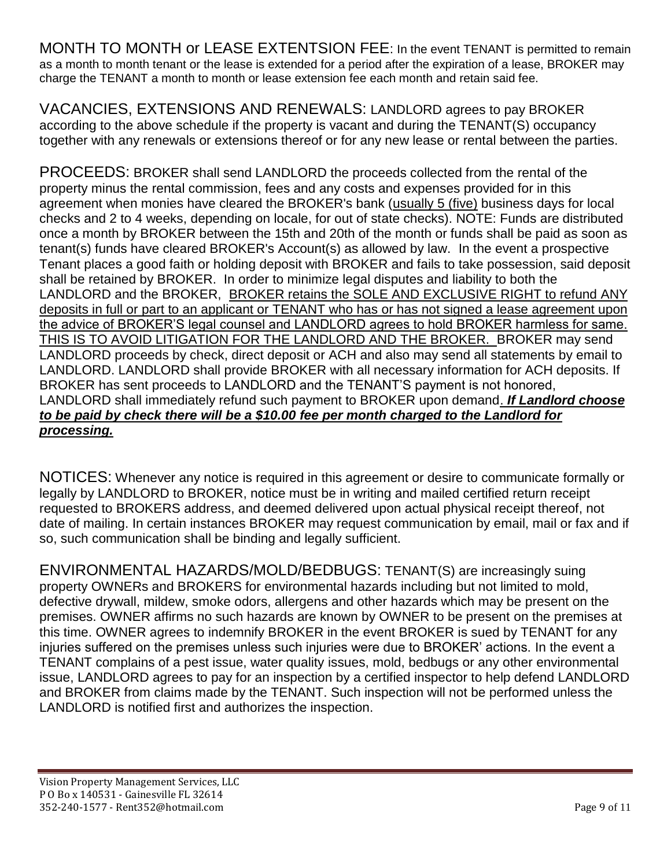MONTH TO MONTH or LEASE EXTENTSION FEE: In the event TENANT is permitted to remain as a month to month tenant or the lease is extended for a period after the expiration of a lease, BROKER may charge the TENANT a month to month or lease extension fee each month and retain said fee.

VACANCIES, EXTENSIONS AND RENEWALS: LANDLORD agrees to pay BROKER according to the above schedule if the property is vacant and during the TENANT(S) occupancy together with any renewals or extensions thereof or for any new lease or rental between the parties.

PROCEEDS: BROKER shall send LANDLORD the proceeds collected from the rental of the property minus the rental commission, fees and any costs and expenses provided for in this agreement when monies have cleared the BROKER's bank (usually 5 (five) business days for local checks and 2 to 4 weeks, depending on locale, for out of state checks). NOTE: Funds are distributed once a month by BROKER between the 15th and 20th of the month or funds shall be paid as soon as tenant(s) funds have cleared BROKER's Account(s) as allowed by law. In the event a prospective Tenant places a good faith or holding deposit with BROKER and fails to take possession, said deposit shall be retained by BROKER. In order to minimize legal disputes and liability to both the LANDLORD and the BROKER, BROKER retains the SOLE AND EXCLUSIVE RIGHT to refund ANY deposits in full or part to an applicant or TENANT who has or has not signed a lease agreement upon the advice of BROKER'S legal counsel and LANDLORD agrees to hold BROKER harmless for same. THIS IS TO AVOID LITIGATION FOR THE LANDLORD AND THE BROKER. BROKER may send LANDLORD proceeds by check, direct deposit or ACH and also may send all statements by email to LANDLORD. LANDLORD shall provide BROKER with all necessary information for ACH deposits. If BROKER has sent proceeds to LANDLORD and the TENANT'S payment is not honored, LANDLORD shall immediately refund such payment to BROKER upon demand. *If Landlord choose to be paid by check there will be a \$10.00 fee per month charged to the Landlord for processing.*

NOTICES: Whenever any notice is required in this agreement or desire to communicate formally or legally by LANDLORD to BROKER, notice must be in writing and mailed certified return receipt requested to BROKERS address, and deemed delivered upon actual physical receipt thereof, not date of mailing. In certain instances BROKER may request communication by email, mail or fax and if so, such communication shall be binding and legally sufficient.

ENVIRONMENTAL HAZARDS/MOLD/BEDBUGS: TENANT(S) are increasingly suing property OWNERs and BROKERS for environmental hazards including but not limited to mold, defective drywall, mildew, smoke odors, allergens and other hazards which may be present on the premises. OWNER affirms no such hazards are known by OWNER to be present on the premises at this time. OWNER agrees to indemnify BROKER in the event BROKER is sued by TENANT for any injuries suffered on the premises unless such injuries were due to BROKER' actions. In the event a TENANT complains of a pest issue, water quality issues, mold, bedbugs or any other environmental issue, LANDLORD agrees to pay for an inspection by a certified inspector to help defend LANDLORD and BROKER from claims made by the TENANT. Such inspection will not be performed unless the LANDLORD is notified first and authorizes the inspection.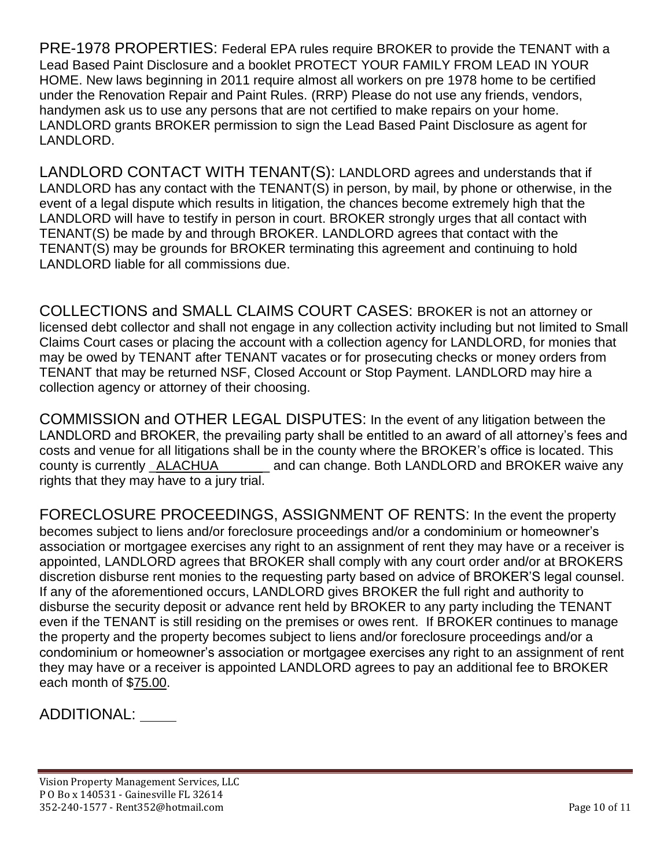PRE-1978 PROPERTIES: Federal EPA rules require BROKER to provide the TENANT with a Lead Based Paint Disclosure and a booklet PROTECT YOUR FAMILY FROM LEAD IN YOUR HOME. New laws beginning in 2011 require almost all workers on pre 1978 home to be certified under the Renovation Repair and Paint Rules. (RRP) Please do not use any friends, vendors, handymen ask us to use any persons that are not certified to make repairs on your home. LANDLORD grants BROKER permission to sign the Lead Based Paint Disclosure as agent for LANDLORD.

LANDLORD CONTACT WITH TENANT(S): LANDLORD agrees and understands that if LANDLORD has any contact with the TENANT(S) in person, by mail, by phone or otherwise, in the event of a legal dispute which results in litigation, the chances become extremely high that the LANDLORD will have to testify in person in court. BROKER strongly urges that all contact with TENANT(S) be made by and through BROKER. LANDLORD agrees that contact with the TENANT(S) may be grounds for BROKER terminating this agreement and continuing to hold LANDLORD liable for all commissions due.

COLLECTIONS and SMALL CLAIMS COURT CASES: BROKER is not an attorney or licensed debt collector and shall not engage in any collection activity including but not limited to Small Claims Court cases or placing the account with a collection agency for LANDLORD, for monies that may be owed by TENANT after TENANT vacates or for prosecuting checks or money orders from TENANT that may be returned NSF, Closed Account or Stop Payment. LANDLORD may hire a collection agency or attorney of their choosing.

COMMISSION and OTHER LEGAL DISPUTES: In the event of any litigation between the LANDLORD and BROKER, the prevailing party shall be entitled to an award of all attorney's fees and costs and venue for all litigations shall be in the county where the BROKER's office is located. This county is currently \_ALACHUA\_\_\_\_\_\_\_ and can change. Both LANDLORD and BROKER waive any rights that they may have to a jury trial.

FORECLOSURE PROCEEDINGS, ASSIGNMENT OF RENTS: In the event the property becomes subject to liens and/or foreclosure proceedings and/or a condominium or homeowner's association or mortgagee exercises any right to an assignment of rent they may have or a receiver is appointed, LANDLORD agrees that BROKER shall comply with any court order and/or at BROKERS discretion disburse rent monies to the requesting party based on advice of BROKER'S legal counsel. If any of the aforementioned occurs, LANDLORD gives BROKER the full right and authority to disburse the security deposit or advance rent held by BROKER to any party including the TENANT even if the TENANT is still residing on the premises or owes rent. If BROKER continues to manage the property and the property becomes subject to liens and/or foreclosure proceedings and/or a condominium or homeowner's association or mortgagee exercises any right to an assignment of rent they may have or a receiver is appointed LANDLORD agrees to pay an additional fee to BROKER each month of \$75.00.

## ADDITIONAL: